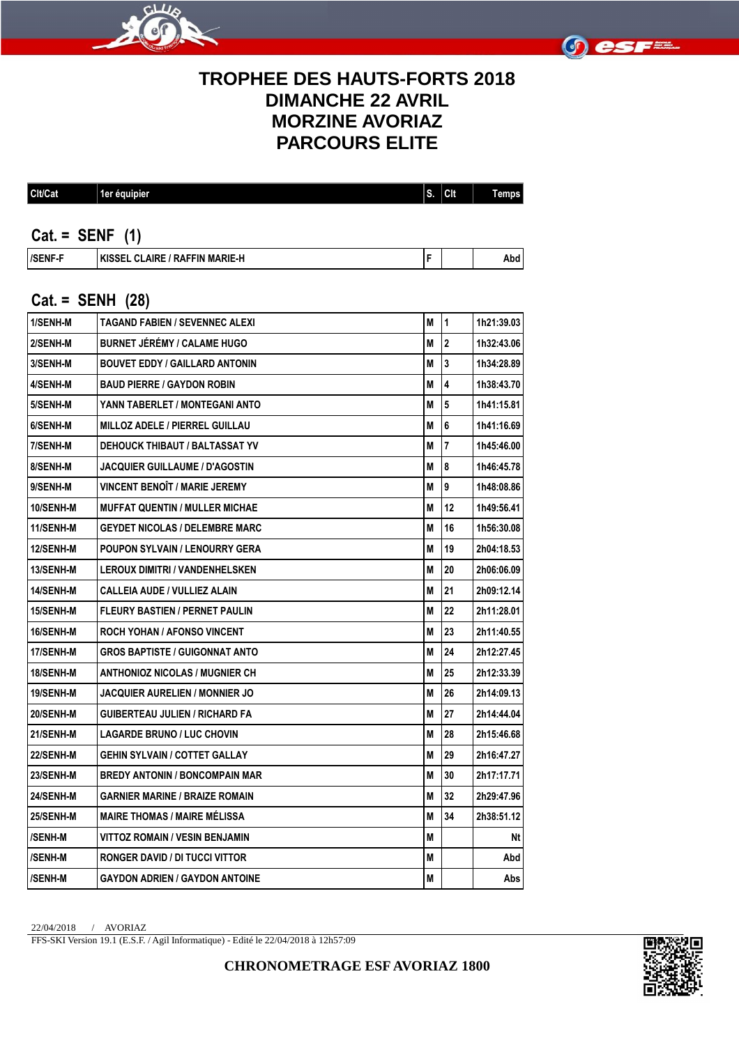



## **TROPHEE DES HAUTS-FORTS 2018 DIMANCHE 22 AVRIL MORZINE AVORIAZ PARCOURS ELITE**

| Clt/Cat | 1er équipier | 脉<br>۱∙۰. | <b>CIt</b> | −<br>remps |
|---------|--------------|-----------|------------|------------|
|         |              |           |            |            |

#### **Cat. = SENF (1)**

| <b>/SENF-F</b><br>/ RAFFIN MARIE-H<br><b>LYICCEI</b><br><b>CLAIRE</b><br>INDOEL |  |  | . .<br>Abd |
|---------------------------------------------------------------------------------|--|--|------------|
|---------------------------------------------------------------------------------|--|--|------------|

#### **Cat. = SENH (28)**

| 1/SENH-M         | <b>TAGAND FABIEN / SEVENNEC ALEXI</b> | М | 11                      | 1h21:39.03 |
|------------------|---------------------------------------|---|-------------------------|------------|
| 2/SENH-M         | <b>BURNET JÉRÉMY / CALAME HUGO</b>    | M | $\overline{2}$          | 1h32:43.06 |
| 3/SENH-M         | <b>BOUVET EDDY / GAILLARD ANTONIN</b> | М | 3                       | 1h34:28.89 |
| 4/SENH-M         | <b>BAUD PIERRE / GAYDON ROBIN</b>     | М | $\overline{\mathbf{4}}$ | 1h38:43.70 |
| 5/SENH-M         | YANN TABERLET / MONTEGANI ANTO        | М | 5                       | 1h41:15.81 |
| 6/SENH-M         | <b>MILLOZ ADELE / PIERREL GUILLAU</b> | М | 6                       | 1h41:16.69 |
| 7/SENH-M         | DEHOUCK THIBAUT / BALTASSAT YV        | М | 17                      | 1h45:46.00 |
| 8/SENH-M         | <b>JACQUIER GUILLAUME / D'AGOSTIN</b> | М | 8                       | 1h46:45.78 |
| 9/SENH-M         | <b>VINCENT BENOÎT / MARIE JEREMY</b>  | М | 9                       | 1h48:08.86 |
| 10/SENH-M        | <b>MUFFAT QUENTIN / MULLER MICHAE</b> | М | 12                      | 1h49:56.41 |
| 11/SENH-M        | <b>GEYDET NICOLAS / DELEMBRE MARC</b> | М | 16                      | 1h56:30.08 |
| 12/SENH-M        | POUPON SYLVAIN / LENOURRY GERA        | Μ | 19                      | 2h04:18.53 |
| <b>13/SENH-M</b> | <b>LEROUX DIMITRI / VANDENHELSKEN</b> | М | 20                      | 2h06:06.09 |
| 14/SENH-M        | <b>CALLEIA AUDE / VULLIEZ ALAIN</b>   | M | 21                      | 2h09:12.14 |
| <b>15/SENH-M</b> | <b>FLEURY BASTIEN / PERNET PAULIN</b> | M | 22                      | 2h11:28.01 |
| <b>16/SENH-M</b> | ROCH YOHAN / AFONSO VINCENT           | М | 23                      | 2h11:40.55 |
| 17/SENH-M        | <b>GROS BAPTISTE / GUIGONNAT ANTO</b> | М | 24                      | 2h12:27.45 |
| 18/SENH-M        | ANTHONIOZ NICOLAS / MUGNIER CH        | М | 25                      | 2h12:33.39 |
| <b>19/SENH-M</b> | JACQUIER AURELIEN / MONNIER JO        | М | 26                      | 2h14:09.13 |
| 20/SENH-M        | GUIBERTEAU JULIEN / RICHARD FA        | М | 27                      | 2h14:44.04 |
| 21/SENH-M        | <b>LAGARDE BRUNO / LUC CHOVIN</b>     | M | 28                      | 2h15:46.68 |
| <b>22/SENH-M</b> | GEHIN SYLVAIN / COTTET GALLAY         | М | 29                      | 2h16:47.27 |
| 23/SENH-M        | <b>BREDY ANTONIN / BONCOMPAIN MAR</b> | М | 30                      | 2h17:17.71 |
| 24/SENH-M        | <b>GARNIER MARINE / BRAIZE ROMAIN</b> | Μ | 32                      | 2h29:47.96 |
| <b>25/SENH-M</b> | <b>MAIRE THOMAS / MAIRE MÉLISSA</b>   | M | 34                      | 2h38:51.12 |
| /SENH-M          | VITTOZ ROMAIN / VESIN BENJAMIN        | M |                         | Nt         |
| /SENH-M          | RONGER DAVID / DI TUCCI VITTOR        | M |                         | Abd        |
| /SENH-M          | <b>GAYDON ADRIEN / GAYDON ANTOINE</b> | М |                         | Abs        |

22/04/2018 / AVORIAZ

FFS-SKI Version 19.1 (E.S.F. / Agil Informatique) - Edité le 22/04/2018 à 12h57:09

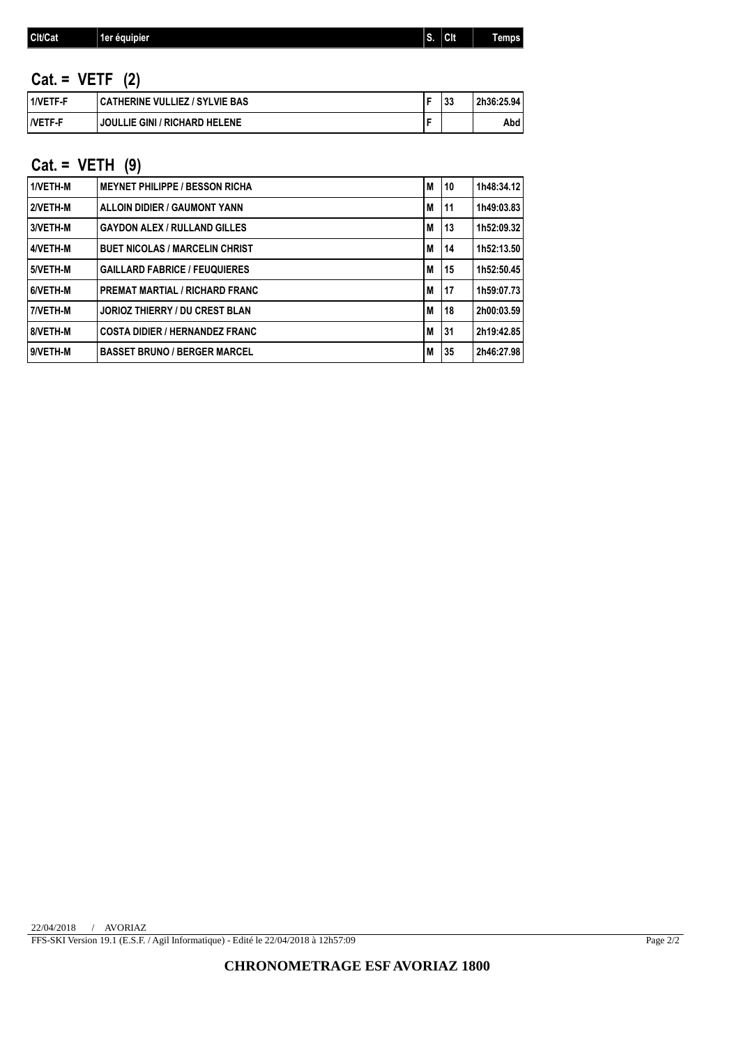|  | CIt/Cat | "1er équipier | S. | <b>Clt</b> | –<br>emps |
|--|---------|---------------|----|------------|-----------|
|--|---------|---------------|----|------------|-----------|

# **Cat. = VETF (2)**

| 1/VETF-F             | CATHERINE VULLIEZ / SYLVIE BAS | 33 | 2h36:25.94 |
|----------------------|--------------------------------|----|------------|
| <i><b>NETF-F</b></i> | JOULLIE GINI / RICHARD HELENE  |    | Abd        |

## **Cat. = VETH (9)**

| 1/VETH-M | <b>MEYNET PHILIPPE / BESSON RICHA</b> | M | 10   | 1h48:34.12 |
|----------|---------------------------------------|---|------|------------|
| 2/VETH-M | <b>ALLOIN DIDIER / GAUMONT YANN</b>   | M | 11   | 1h49:03.83 |
| 3/VETH-M | <b>GAYDON ALEX / RULLAND GILLES</b>   | M | 13   | 1h52:09.32 |
| 4/VETH-M | <b>BUET NICOLAS / MARCELIN CHRIST</b> | M | 14   | 1h52:13.50 |
| 5/VETH-M | <b>GAILLARD FABRICE / FEUQUIERES</b>  | M | ' 15 | 1h52:50.45 |
| 6/VETH-M | <b>PREMAT MARTIAL / RICHARD FRANC</b> | M | 17   | 1h59:07.73 |
| 7/VETH-M | <b>JORIOZ THIERRY / DU CREST BLAN</b> | M | 18   | 2h00:03.59 |
| 8/VETH-M | <b>COSTA DIDIER / HERNANDEZ FRANC</b> | M | l 31 | 2h19:42.85 |
| 9/VETH-M | <b>BASSET BRUNO / BERGER MARCEL</b>   | M | 35   | 2h46:27.98 |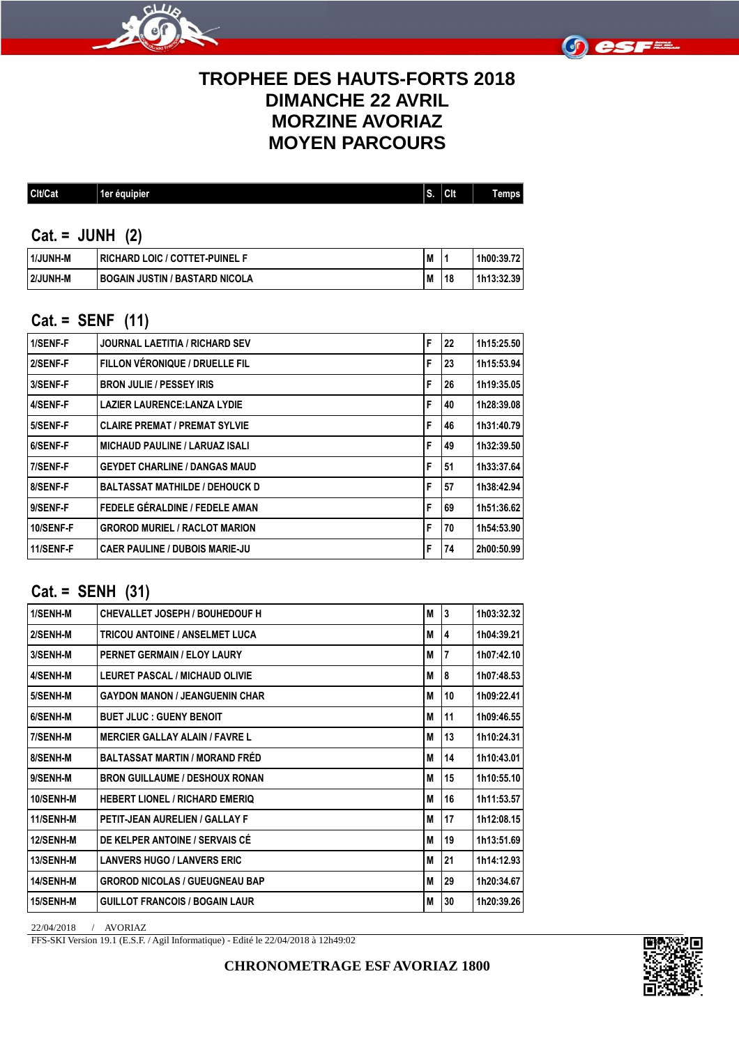



## **TROPHEE DES HAUTS-FORTS 2018 DIMANCHE 22 AVRIL MORZINE AVORIAZ MOYEN PARCOURS**

#### **Cat. = JUNH (2)**

| 1/JUNH-M | I RICHARD LOIC / COTTET-PUINEL F | M |    | 1h00:39.72 |
|----------|----------------------------------|---|----|------------|
| 2/JUNH-M | I BOGAIN JUSTIN / BASTARD NICOLA | M | 18 | 1h13:32.39 |

### **Cat. = SENF (11)**

| 1/SENF-F  | <b>JOURNAL LAETITIA / RICHARD SEV</b> | F | 22 | 1h15:25.50 |
|-----------|---------------------------------------|---|----|------------|
| 2/SENF-F  | FILLON VÉRONIQUE / DRUELLE FIL        | F | 23 | 1h15:53.94 |
| 3/SENF-F  | <b>BRON JULIE / PESSEY IRIS</b>       | F | 26 | 1h19:35.05 |
| 4/SENF-F  | <b>LAZIER LAURENCE: LANZA LYDIE</b>   | F | 40 | 1h28:39.08 |
| 5/SENF-F  | <b>CLAIRE PREMAT / PREMAT SYLVIE</b>  | F | 46 | 1h31:40.79 |
| 6/SENF-F  | <b>MICHAUD PAULINE / LARUAZ ISALI</b> | F | 49 | 1h32:39.50 |
| 7/SENF-F  | <b>GEYDET CHARLINE / DANGAS MAUD</b>  | F | 51 | 1h33:37.64 |
| 8/SENF-F  | <b>BALTASSAT MATHILDE / DEHOUCK D</b> | F | 57 | 1h38:42.94 |
| 9/SENF-F  | FEDELE GÉRALDINE / FEDELE AMAN        | F | 69 | 1h51:36.62 |
| 10/SENF-F | <b>GROROD MURIEL / RACLOT MARION</b>  | F | 70 | 1h54:53.90 |
| 11/SENF-F | <b>CAER PAULINE / DUBOIS MARIE-JU</b> | F | 74 | 2h00:50.99 |

### **Cat. = SENH (31)**

| 1/SENH-M  | <b>CHEVALLET JOSEPH / BOUHEDOUF H</b> | M | 3  | 1h03:32.32 |
|-----------|---------------------------------------|---|----|------------|
| 2/SENH-M  | <b>TRICOU ANTOINE / ANSELMET LUCA</b> | M | 4  | 1h04:39.21 |
| 3/SENH-M  | <b>PERNET GERMAIN / ELOY LAURY</b>    | M | 7  | 1h07:42.10 |
| 4/SENH-M  | LEURET PASCAL / MICHAUD OLIVIE        | M | 8  | 1h07:48.53 |
| 5/SENH-M  | <b>GAYDON MANON / JEANGUENIN CHAR</b> | M | 10 | 1h09:22.41 |
| 6/SENH-M  | <b>BUET JLUC: GUENY BENOIT</b>        | M | 11 | 1h09:46.55 |
| 7/SENH-M  | <b>MERCIER GALLAY ALAIN / FAVRE L</b> | M | 13 | 1h10:24.31 |
| 8/SENH-M  | <b>BALTASSAT MARTIN / MORAND FRED</b> | M | 14 | 1h10:43.01 |
| 9/SENH-M  | <b>BRON GUILLAUME / DESHOUX RONAN</b> | M | 15 | 1h10:55.10 |
| 10/SENH-M | <b>HEBERT LIONEL / RICHARD EMERIQ</b> | M | 16 | 1h11:53.57 |
| 11/SENH-M | PETIT-JEAN AURELIEN / GALLAY F        | M | 17 | 1h12:08.15 |
| 12/SENH-M | DE KELPER ANTOINE / SERVAIS CÉ        | M | 19 | 1h13:51.69 |
| 13/SENH-M | <b>LANVERS HUGO / LANVERS ERIC</b>    | M | 21 | 1h14:12.93 |
| 14/SENH-M | <b>GROROD NICOLAS / GUEUGNEAU BAP</b> | M | 29 | 1h20:34.67 |
| 15/SENH-M | <b>GUILLOT FRANCOIS / BOGAIN LAUR</b> | M | 30 | 1h20:39.26 |

22/04/2018 / AVORIAZ

FFS-SKI Version 19.1 (E.S.F. / Agil Informatique) - Edité le 22/04/2018 à 12h49:02

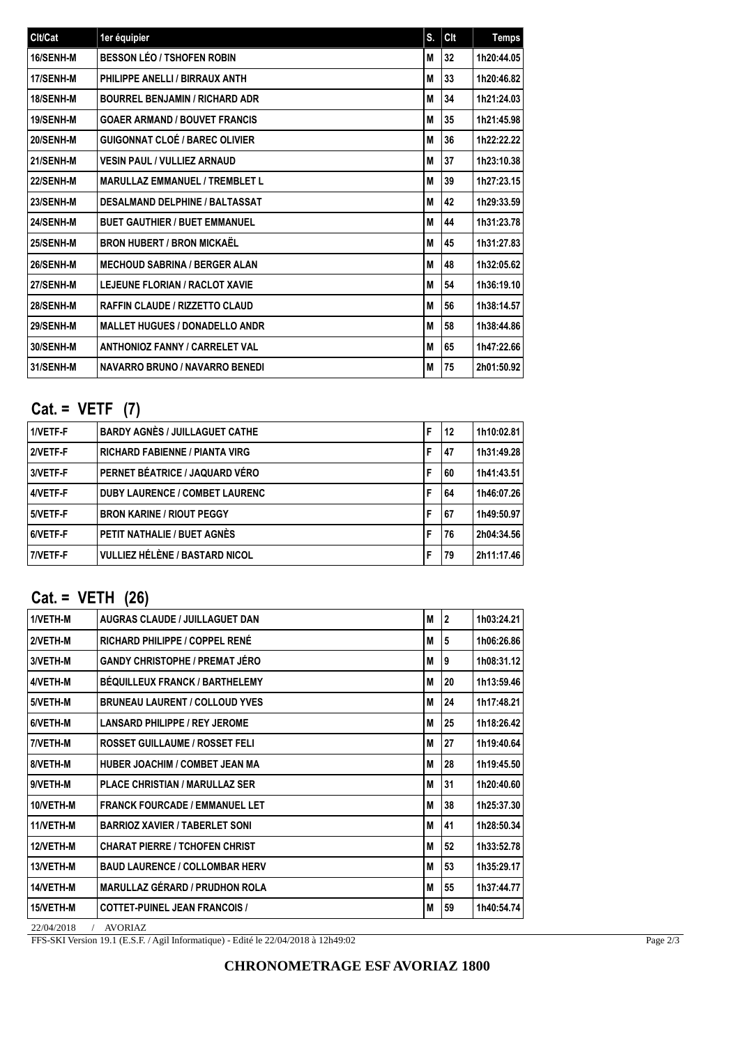| Clt/Cat   | 1er équipier                          | S. | Clt | <b>Temps</b> |
|-----------|---------------------------------------|----|-----|--------------|
| 16/SENH-M | <b>BESSON LÉO / TSHOFEN ROBIN</b>     | M  | 32  | 1h20:44.05   |
| 17/SENH-M | PHILIPPE ANELLI / BIRRAUX ANTH        | M  | 33  | 1h20:46.82   |
| 18/SENH-M | <b>BOURREL BENJAMIN / RICHARD ADR</b> | M  | 34  | 1h21:24.03   |
| 19/SENH-M | <b>GOAER ARMAND / BOUVET FRANCIS</b>  | M  | 35  | 1h21:45.98   |
| 20/SENH-M | <b>GUIGONNAT CLOÉ / BAREC OLIVIER</b> | M  | 36  | 1h22:22.22   |
| 21/SENH-M | VESIN PAUL / VULLIEZ ARNAUD           | M  | 37  | 1h23:10.38   |
| 22/SENH-M | <b>MARULLAZ EMMANUEL / TREMBLET L</b> | M  | 39  | 1h27:23.15   |
| 23/SENH-M | <b>DESALMAND DELPHINE / BALTASSAT</b> | M  | 42  | 1h29:33.59   |
| 24/SENH-M | <b>BUET GAUTHIER / BUET EMMANUEL</b>  | M  | 44  | 1h31:23.78   |
| 25/SENH-M | <b>BRON HUBERT / BRON MICKAËL</b>     | M  | 45  | 1h31:27.83   |
| 26/SENH-M | <b>MECHOUD SABRINA / BERGER ALAN</b>  | M  | 48  | 1h32:05.62   |
| 27/SENH-M | <b>LEJEUNE FLORIAN / RACLOT XAVIE</b> | M  | 54  | 1h36:19.10   |
| 28/SENH-M | <b>RAFFIN CLAUDE / RIZZETTO CLAUD</b> | M  | 56  | 1h38:14.57   |
| 29/SENH-M | <b>MALLET HUGUES / DONADELLO ANDR</b> | M  | 58  | 1h38:44.86   |
| 30/SENH-M | <b>ANTHONIOZ FANNY / CARRELET VAL</b> | M  | 65  | 1h47:22.66   |
| 31/SENH-M | <b>NAVARRO BRUNO / NAVARRO BENEDI</b> | M  | 75  | 2h01:50.92   |

# **Cat. = VETF (7)**

| 1/VETF-F | <b>BARDY AGNÈS / JUILLAGUET CATHE</b> | F | 12 | 1h10:02.81 |
|----------|---------------------------------------|---|----|------------|
| 2/VETF-F | <b>RICHARD FABIENNE / PIANTA VIRG</b> | F | 47 | 1h31:49.28 |
| 3/VETF-F | PERNET BÉATRICE / JAQUARD VÉRO        | F | 60 | 1h41:43.51 |
| 4/VETF-F | <b>DUBY LAURENCE / COMBET LAURENC</b> | F | 64 | 1h46:07.26 |
| 5/VETF-F | <b>BRON KARINE / RIOUT PEGGY</b>      | F | 67 | 1h49:50.97 |
| 6/VETF-F | PETIT NATHALIE / BUET AGNÈS           | F | 76 | 2h04:34.56 |
| 7/VETF-F | VULLIEZ HÉLÈNE / BASTARD NICOL        | F | 79 | 2h11:17.46 |

# **Cat. = VETH (26)**

| 1/VETH-M  | <b>AUGRAS CLAUDE / JUILLAGUET DAN</b> | M | <b>2</b> | 1h03:24.21 |
|-----------|---------------------------------------|---|----------|------------|
| 2/VETH-M  | RICHARD PHILIPPE / COPPEL RENÉ        | M | 5        | 1h06:26.86 |
| 3/VETH-M  | <b>GANDY CHRISTOPHE / PREMAT JÉRO</b> | M | 9        | 1h08:31.12 |
| 4/VETH-M  | <b>BÉQUILLEUX FRANCK / BARTHELEMY</b> | M | 20       | 1h13:59.46 |
| 5/VETH-M  | <b>BRUNEAU LAURENT / COLLOUD YVES</b> | M | 24       | 1h17:48.21 |
| 6/VETH-M  | <b>LANSARD PHILIPPE / REY JEROME</b>  | M | 25       | 1h18:26.42 |
| 7/VETH-M  | <b>ROSSET GUILLAUME / ROSSET FELI</b> | M | 27       | 1h19:40.64 |
| 8/VETH-M  | <b>HUBER JOACHIM / COMBET JEAN MA</b> | M | 28       | 1h19:45.50 |
| 9/VETH-M  | <b>PLACE CHRISTIAN / MARULLAZ SER</b> | M | 31       | 1h20:40.60 |
| 10/VETH-M | <b>FRANCK FOURCADE / EMMANUEL LET</b> | M | 38       | 1h25:37.30 |
| 11/VETH-M | <b>BARRIOZ XAVIER / TABERLET SONI</b> | M | 41       | 1h28:50.34 |
| 12/VETH-M | <b>CHARAT PIERRE / TCHOFEN CHRIST</b> | M | 52       | 1h33:52.78 |
| 13/VETH-M | <b>BAUD LAURENCE / COLLOMBAR HERV</b> | M | 53       | 1h35:29.17 |
| 14/VETH-M | <b>MARULLAZ GÉRARD / PRUDHON ROLA</b> | M | 55       | 1h37:44.77 |
| 15/VETH-M | <b>COTTET-PUINEL JEAN FRANCOIS /</b>  | M | 59       | 1h40:54.74 |

22/04/2018 / AVORIAZ

FFS-SKI Version 19.1 (E.S.F. / Agil Informatique) - Edité le 22/04/2018 à 12h49:02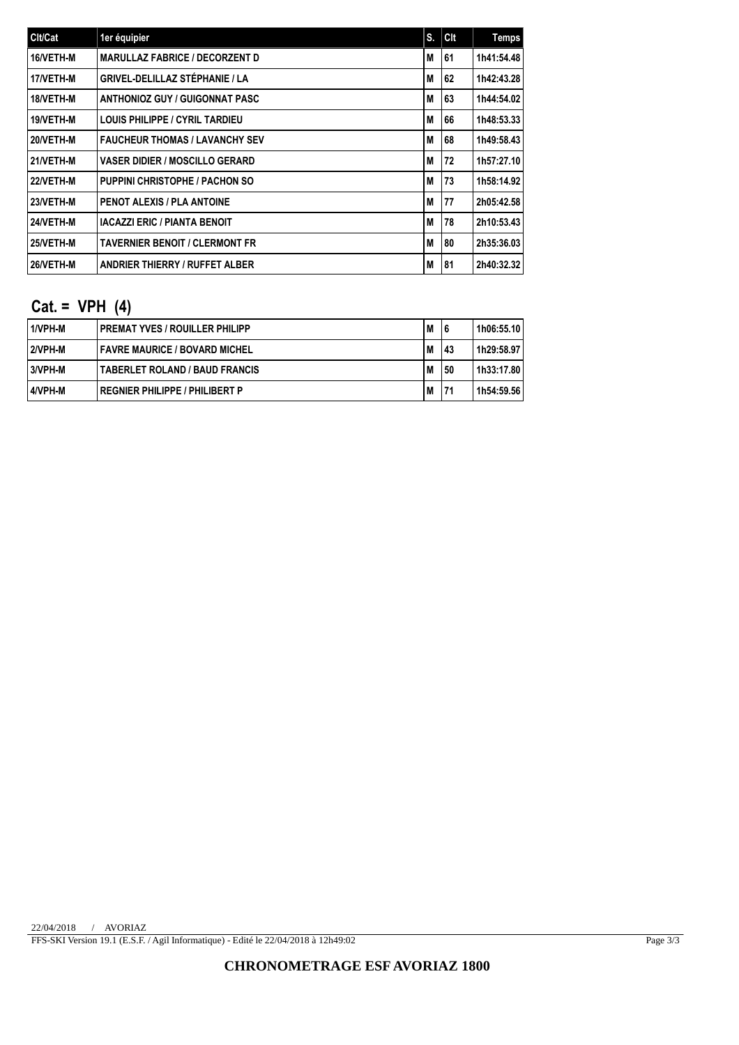| Clt/Cat   | 1er équipier                          | S. | Clt | Temps      |
|-----------|---------------------------------------|----|-----|------------|
| 16/VETH-M | <b>MARULLAZ FABRICE / DECORZENT D</b> | M  | 61  | 1h41:54.48 |
| 17/VETH-M | <b>GRIVEL-DELILLAZ STÉPHANIE / LA</b> | M  | 62  | 1h42:43.28 |
| 18/VETH-M | <b>ANTHONIOZ GUY / GUIGONNAT PASC</b> | M  | 63  | 1h44:54.02 |
| 19/VETH-M | <b>LOUIS PHILIPPE / CYRIL TARDIEU</b> | M  | 66  | 1h48:53.33 |
| 20/VETH-M | <b>FAUCHEUR THOMAS / LAVANCHY SEV</b> | M  | 68  | 1h49:58.43 |
| 21/VETH-M | <b>VASER DIDIER / MOSCILLO GERARD</b> | M  | 72  | 1h57:27.10 |
| 22/VETH-M | <b>PUPPINI CHRISTOPHE / PACHON SO</b> | M  | 73  | 1h58:14.92 |
| 23/VETH-M | <b>PENOT ALEXIS / PLA ANTOINE</b>     | M  | 77  | 2h05:42.58 |
| 24/VETH-M | <b>IACAZZI ERIC / PIANTA BENOIT</b>   | M  | 78  | 2h10:53.43 |
| 25/VETH-M | <b>TAVERNIER BENOIT / CLERMONT FR</b> | M  | 80  | 2h35:36.03 |
| 26/VETH-M | <b>ANDRIER THIERRY / RUFFET ALBER</b> | M  | 81  | 2h40:32.32 |

## **Cat. = VPH (4)**

| 11/VPH-M | I PREMAT YVES / ROUILLER PHILIPP      | M | 6  | 1h06:55.10 |
|----------|---------------------------------------|---|----|------------|
| 2/VPH-M  | FAVRE MAURICE / BOVARD MICHEL         | M | 43 | 1h29:58.97 |
| 13/VPH-M | <b>TABERLET ROLAND / BAUD FRANCIS</b> | M | 50 | 1h33:17.80 |
| 14/VPH-M | REGNIER PHILIPPE / PHILIBERT P        | M | 71 | 1h54:59.56 |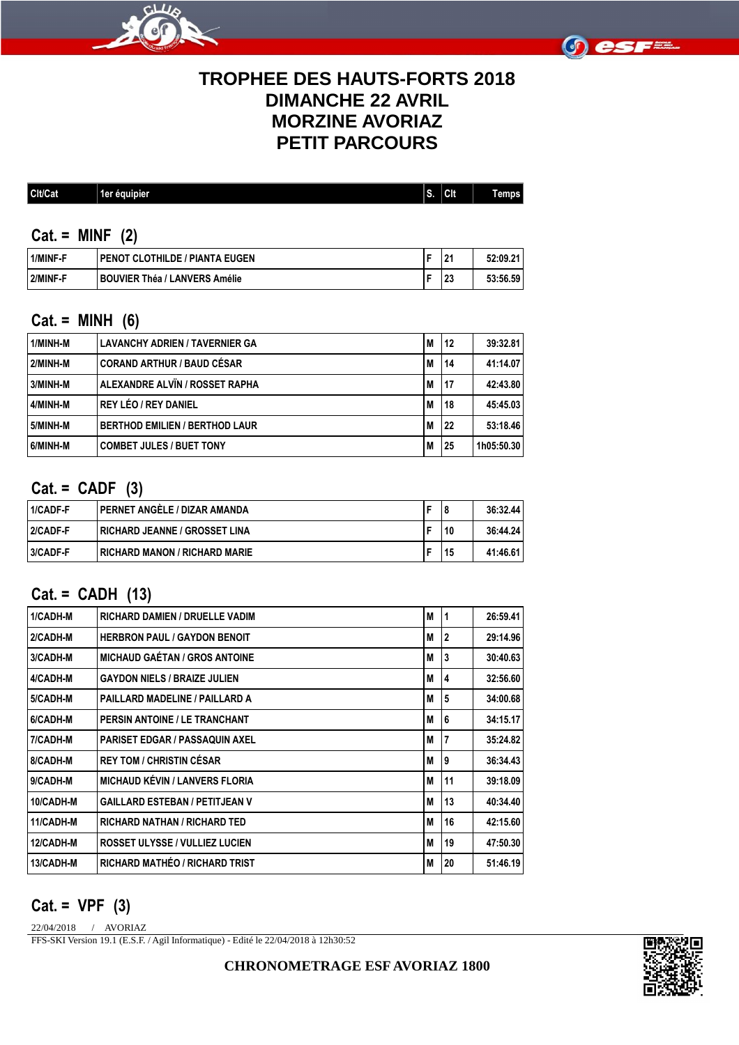



## **TROPHEE DES HAUTS-FORTS 2018 DIMANCHE 22 AVRIL MORZINE AVORIAZ PETIT PARCOURS**

| Cit/<br>-<br>-2215 | équipier<br>ுவை<br>. . | a bir<br>. . | Clt | ЮS |
|--------------------|------------------------|--------------|-----|----|
|--------------------|------------------------|--------------|-----|----|

#### **Cat. = MINF (2)**

| 1/MINF-F | I PENOT CLOTHILDE / PIANTA EUGEN | ۰Ω۰<br>. . | 52:09.2<br>-94 |
|----------|----------------------------------|------------|----------------|
| 2/MINF-F | I BOUVIER Théa / LANVERS Amélie  | o.<br>-49  | 53:56.59       |

### **Cat. = MINH (6)**

| l 1/MINH-M | <b>LAVANCHY ADRIEN / TAVERNIER GA</b> | M | 12 | 39:32.81   |
|------------|---------------------------------------|---|----|------------|
| 2/MINH-M   | <b>CORAND ARTHUR / BAUD CÉSAR</b>     | M | 14 | 41:14.07   |
| 3/MINH-M   | ALEXANDRE ALVÏN / ROSSET RAPHA        | M | 17 | 42:43.80   |
| 4/MINH-M   | REY LÉO / REY DANIEL                  | M | 18 | 45:45.03   |
| 5/MINH-M   | <b>BERTHOD EMILIEN / BERTHOD LAUR</b> | M | 22 | 53:18.46   |
| 6/MINH-M   | <b>COMBET JULES / BUET TONY</b>       | M | 25 | 1h05:50.30 |

### **Cat. = CADF (3)**

| 1/CADF-F | I PERNET ANGÈLE / DIZAR AMANDA        |    | 36:32.44 |
|----------|---------------------------------------|----|----------|
| 2/CADF-F | <b>IRICHARD JEANNE / GROSSET LINA</b> | 10 | 36:44.24 |
| 3/CADF-F | I RICHARD MANON / RICHARD MARIE       | 15 | 41:46.61 |

## **Cat. = CADH (13)**

| 1/CADH-M  | <b>RICHARD DAMIEN / DRUELLE VADIM</b> | M | 1            | 26:59.41 |
|-----------|---------------------------------------|---|--------------|----------|
| 2/CADH-M  | <b>HERBRON PAUL / GAYDON BENOIT</b>   | M | $\mathbf{2}$ | 29:14.96 |
| 3/CADH-M  | <b>MICHAUD GAÉTAN / GROS ANTOINE</b>  | M | 3            | 30:40.63 |
| 4/CADH-M  | <b>GAYDON NIELS / BRAIZE JULIEN</b>   | M | 4            | 32:56.60 |
| 5/CADH-M  | PAILLARD MADELINE / PAILLARD A        | M | 5            | 34:00.68 |
| 6/CADH-M  | <b>PERSIN ANTOINE / LE TRANCHANT</b>  | M | 6            | 34:15.17 |
| 7/CADH-M  | <b>PARISET EDGAR / PASSAQUIN AXEL</b> | M | 7            | 35:24.82 |
| 8/CADH-M  | <b>REY TOM / CHRISTIN CÉSAR</b>       | M | 9            | 36:34.43 |
| 9/CADH-M  | <b>MICHAUD KÉVIN / LANVERS FLORIA</b> | M | 11           | 39:18.09 |
| 10/CADH-M | <b>GAILLARD ESTEBAN / PETITJEAN V</b> | M | 13           | 40:34.40 |
| 11/CADH-M | <b>RICHARD NATHAN / RICHARD TED</b>   | M | 16           | 42:15.60 |
| 12/CADH-M | <b>ROSSET ULYSSE / VULLIEZ LUCIEN</b> | M | 19           | 47:50.30 |
| 13/CADH-M | RICHARD MATHÉO / RICHARD TRIST        | M | 20           | 51:46.19 |

### **Cat. = VPF (3)**

22/04/2018 / AVORIAZ

FFS-SKI Version 19.1 (E.S.F. / Agil Informatique) - Edité le 22/04/2018 à 12h30:52